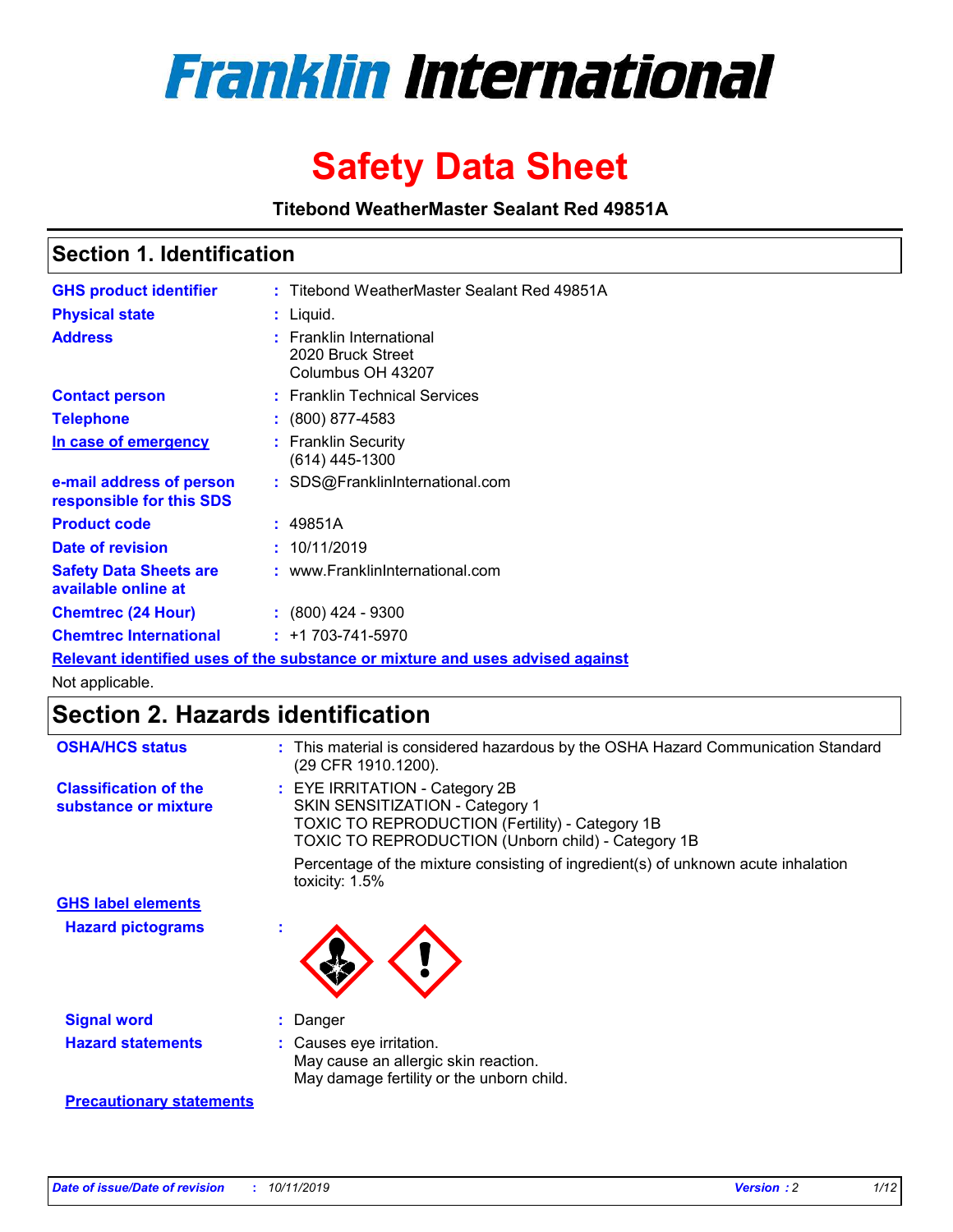

# **Safety Data Sheet**

**Titebond WeatherMaster Sealant Red 49851A**

### **Section 1. Identification**

| <b>GHS product identifier</b>                        | : Titebond WeatherMaster Sealant Red 49851A                                   |
|------------------------------------------------------|-------------------------------------------------------------------------------|
| <b>Physical state</b>                                | : Liquid.                                                                     |
| <b>Address</b>                                       | : Franklin International<br>2020 Bruck Street<br>Columbus OH 43207            |
| <b>Contact person</b>                                | : Franklin Technical Services                                                 |
| <b>Telephone</b>                                     | $\div$ (800) 877-4583                                                         |
| In case of emergency                                 | : Franklin Security<br>(614) 445-1300                                         |
| e-mail address of person<br>responsible for this SDS | : SDS@FranklinInternational.com                                               |
| <b>Product code</b>                                  | : 49851A                                                                      |
| Date of revision                                     | : 10/11/2019                                                                  |
| <b>Safety Data Sheets are</b><br>available online at | : www.FranklinInternational.com                                               |
| <b>Chemtrec (24 Hour)</b>                            | $\div$ (800) 424 - 9300                                                       |
| <b>Chemtrec International</b>                        | $: +1703 - 741 - 5970$                                                        |
|                                                      | Relevant identified uses of the substance or mixture and uses advised against |

Not applicable.

## **Section 2. Hazards identification**

| <b>OSHA/HCS status</b>                               | : This material is considered hazardous by the OSHA Hazard Communication Standard<br>(29 CFR 1910.1200).                                                                                 |
|------------------------------------------------------|------------------------------------------------------------------------------------------------------------------------------------------------------------------------------------------|
| <b>Classification of the</b><br>substance or mixture | : EYE IRRITATION - Category 2B<br>SKIN SENSITIZATION - Category 1<br><b>TOXIC TO REPRODUCTION (Fertility) - Category 1B</b><br><b>TOXIC TO REPRODUCTION (Unborn child) - Category 1B</b> |
|                                                      | Percentage of the mixture consisting of ingredient(s) of unknown acute inhalation<br>toxicity: $1.5\%$                                                                                   |
| <b>GHS label elements</b>                            |                                                                                                                                                                                          |
| <b>Hazard pictograms</b>                             |                                                                                                                                                                                          |
| <b>Signal word</b>                                   | : Danger                                                                                                                                                                                 |
| <b>Hazard statements</b>                             | : Causes eye irritation.<br>May cause an allergic skin reaction.<br>May damage fertility or the unborn child.                                                                            |
| <b>Precautionary statements</b>                      |                                                                                                                                                                                          |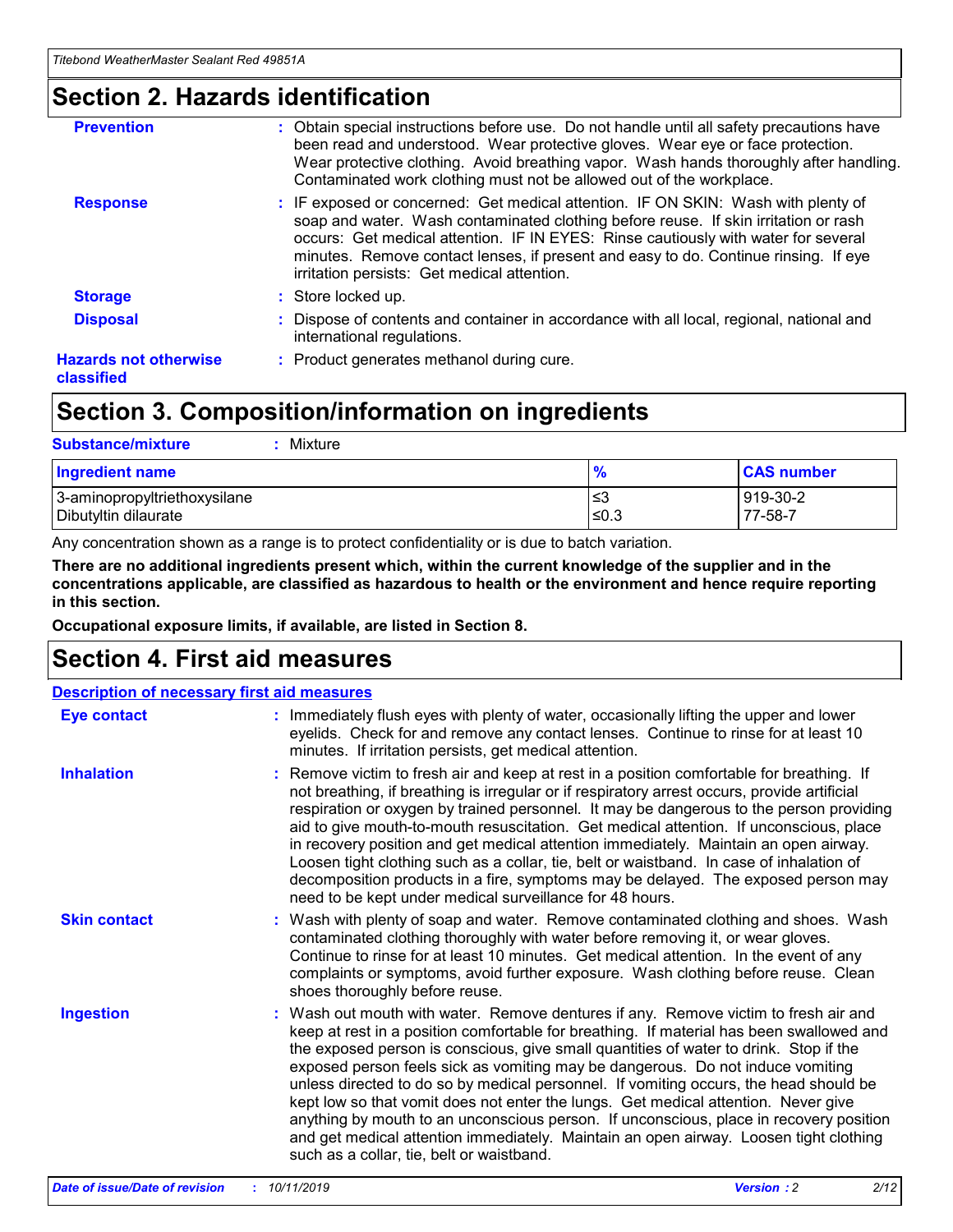### **Section 2. Hazards identification**

| <b>Prevention</b>                          | : Obtain special instructions before use. Do not handle until all safety precautions have<br>been read and understood. Wear protective gloves. Wear eye or face protection.<br>Wear protective clothing. Avoid breathing vapor. Wash hands thoroughly after handling.<br>Contaminated work clothing must not be allowed out of the workplace.                                                        |
|--------------------------------------------|------------------------------------------------------------------------------------------------------------------------------------------------------------------------------------------------------------------------------------------------------------------------------------------------------------------------------------------------------------------------------------------------------|
| <b>Response</b>                            | : IF exposed or concerned: Get medical attention. IF ON SKIN: Wash with plenty of<br>soap and water. Wash contaminated clothing before reuse. If skin irritation or rash<br>occurs: Get medical attention. IF IN EYES: Rinse cautiously with water for several<br>minutes. Remove contact lenses, if present and easy to do. Continue rinsing. If eye<br>irritation persists: Get medical attention. |
| <b>Storage</b>                             | : Store locked up.                                                                                                                                                                                                                                                                                                                                                                                   |
| <b>Disposal</b>                            | : Dispose of contents and container in accordance with all local, regional, national and<br>international regulations.                                                                                                                                                                                                                                                                               |
| <b>Hazards not otherwise</b><br>classified | : Product generates methanol during cure.                                                                                                                                                                                                                                                                                                                                                            |
|                                            |                                                                                                                                                                                                                                                                                                                                                                                                      |

### **Section 3. Composition/information on ingredients**

| <b>Substance/mixture</b><br>Mixture                  |               |                     |
|------------------------------------------------------|---------------|---------------------|
| <b>Ingredient name</b>                               | $\frac{9}{6}$ | <b>CAS number</b>   |
| 3-aminopropyltriethoxysilane<br>Dibutyltin dilaurate | ≤3<br>$≤0.3$  | 919-30-2<br>77-58-7 |

Any concentration shown as a range is to protect confidentiality or is due to batch variation.

**There are no additional ingredients present which, within the current knowledge of the supplier and in the concentrations applicable, are classified as hazardous to health or the environment and hence require reporting in this section.**

**Occupational exposure limits, if available, are listed in Section 8.**

### **Section 4. First aid measures**

| <b>Description of necessary first aid measures</b> |                                                                                                                                                                                                                                                                                                                                                                                                                                                                                                                                                                                                                                                                                                                                                                           |  |  |  |
|----------------------------------------------------|---------------------------------------------------------------------------------------------------------------------------------------------------------------------------------------------------------------------------------------------------------------------------------------------------------------------------------------------------------------------------------------------------------------------------------------------------------------------------------------------------------------------------------------------------------------------------------------------------------------------------------------------------------------------------------------------------------------------------------------------------------------------------|--|--|--|
| <b>Eye contact</b>                                 | : Immediately flush eyes with plenty of water, occasionally lifting the upper and lower<br>eyelids. Check for and remove any contact lenses. Continue to rinse for at least 10<br>minutes. If irritation persists, get medical attention.                                                                                                                                                                                                                                                                                                                                                                                                                                                                                                                                 |  |  |  |
| <b>Inhalation</b>                                  | : Remove victim to fresh air and keep at rest in a position comfortable for breathing. If<br>not breathing, if breathing is irregular or if respiratory arrest occurs, provide artificial<br>respiration or oxygen by trained personnel. It may be dangerous to the person providing<br>aid to give mouth-to-mouth resuscitation. Get medical attention. If unconscious, place<br>in recovery position and get medical attention immediately. Maintain an open airway.<br>Loosen tight clothing such as a collar, tie, belt or waistband. In case of inhalation of<br>decomposition products in a fire, symptoms may be delayed. The exposed person may<br>need to be kept under medical surveillance for 48 hours.                                                       |  |  |  |
| <b>Skin contact</b>                                | : Wash with plenty of soap and water. Remove contaminated clothing and shoes. Wash<br>contaminated clothing thoroughly with water before removing it, or wear gloves.<br>Continue to rinse for at least 10 minutes. Get medical attention. In the event of any<br>complaints or symptoms, avoid further exposure. Wash clothing before reuse. Clean<br>shoes thoroughly before reuse.                                                                                                                                                                                                                                                                                                                                                                                     |  |  |  |
| <b>Ingestion</b>                                   | : Wash out mouth with water. Remove dentures if any. Remove victim to fresh air and<br>keep at rest in a position comfortable for breathing. If material has been swallowed and<br>the exposed person is conscious, give small quantities of water to drink. Stop if the<br>exposed person feels sick as vomiting may be dangerous. Do not induce vomiting<br>unless directed to do so by medical personnel. If vomiting occurs, the head should be<br>kept low so that vomit does not enter the lungs. Get medical attention. Never give<br>anything by mouth to an unconscious person. If unconscious, place in recovery position<br>and get medical attention immediately. Maintain an open airway. Loosen tight clothing<br>such as a collar, tie, belt or waistband. |  |  |  |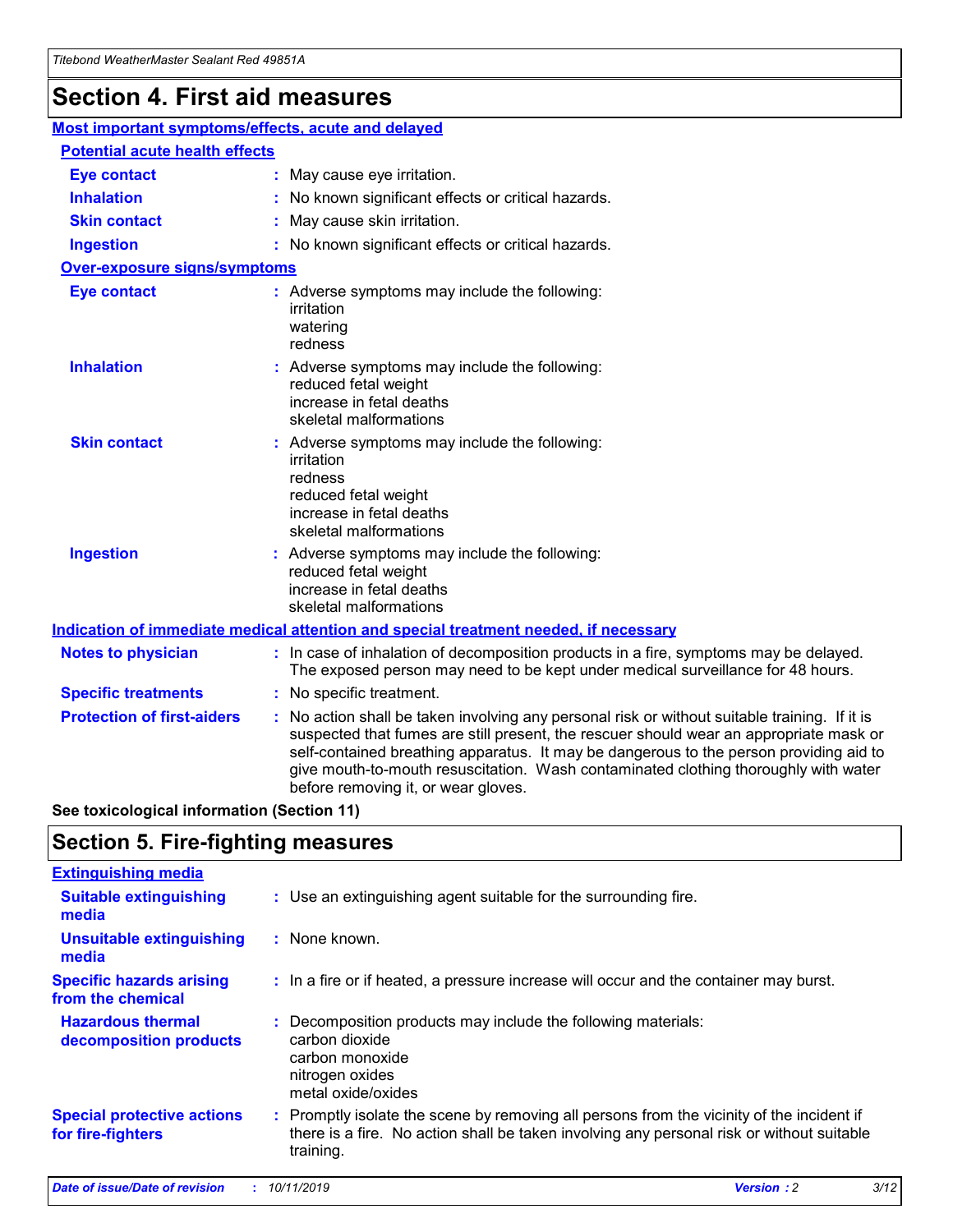## **Section 4. First aid measures**

| Most important symptoms/effects, acute and delayed |  |                                                                                                                                                                                                                                                                                                                                                                                                                 |  |
|----------------------------------------------------|--|-----------------------------------------------------------------------------------------------------------------------------------------------------------------------------------------------------------------------------------------------------------------------------------------------------------------------------------------------------------------------------------------------------------------|--|
| <b>Potential acute health effects</b>              |  |                                                                                                                                                                                                                                                                                                                                                                                                                 |  |
| <b>Eye contact</b>                                 |  | : May cause eye irritation.                                                                                                                                                                                                                                                                                                                                                                                     |  |
| <b>Inhalation</b>                                  |  | : No known significant effects or critical hazards.                                                                                                                                                                                                                                                                                                                                                             |  |
| <b>Skin contact</b>                                |  | : May cause skin irritation.                                                                                                                                                                                                                                                                                                                                                                                    |  |
| <b>Ingestion</b>                                   |  | : No known significant effects or critical hazards.                                                                                                                                                                                                                                                                                                                                                             |  |
| <b>Over-exposure signs/symptoms</b>                |  |                                                                                                                                                                                                                                                                                                                                                                                                                 |  |
| <b>Eye contact</b>                                 |  | : Adverse symptoms may include the following:<br>irritation<br>watering<br>redness                                                                                                                                                                                                                                                                                                                              |  |
| <b>Inhalation</b>                                  |  | : Adverse symptoms may include the following:<br>reduced fetal weight<br>increase in fetal deaths<br>skeletal malformations                                                                                                                                                                                                                                                                                     |  |
| <b>Skin contact</b>                                |  | : Adverse symptoms may include the following:<br>irritation<br>redness<br>reduced fetal weight<br>increase in fetal deaths<br>skeletal malformations                                                                                                                                                                                                                                                            |  |
| <b>Ingestion</b>                                   |  | : Adverse symptoms may include the following:<br>reduced fetal weight<br>increase in fetal deaths<br>skeletal malformations                                                                                                                                                                                                                                                                                     |  |
|                                                    |  | <b>Indication of immediate medical attention and special treatment needed, if necessary</b>                                                                                                                                                                                                                                                                                                                     |  |
| <b>Notes to physician</b>                          |  | : In case of inhalation of decomposition products in a fire, symptoms may be delayed.<br>The exposed person may need to be kept under medical surveillance for 48 hours.                                                                                                                                                                                                                                        |  |
| <b>Specific treatments</b>                         |  | : No specific treatment.                                                                                                                                                                                                                                                                                                                                                                                        |  |
| <b>Protection of first-aiders</b>                  |  | : No action shall be taken involving any personal risk or without suitable training. If it is<br>suspected that fumes are still present, the rescuer should wear an appropriate mask or<br>self-contained breathing apparatus. It may be dangerous to the person providing aid to<br>give mouth-to-mouth resuscitation. Wash contaminated clothing thoroughly with water<br>before removing it, or wear gloves. |  |

**See toxicological information (Section 11)**

### **Section 5. Fire-fighting measures**

| <b>Extinguishing media</b>                             |                                                                                                                                                                                                     |
|--------------------------------------------------------|-----------------------------------------------------------------------------------------------------------------------------------------------------------------------------------------------------|
| <b>Suitable extinguishing</b><br>media                 | : Use an extinguishing agent suitable for the surrounding fire.                                                                                                                                     |
| <b>Unsuitable extinguishing</b><br>media               | $:$ None known.                                                                                                                                                                                     |
| <b>Specific hazards arising</b><br>from the chemical   | : In a fire or if heated, a pressure increase will occur and the container may burst.                                                                                                               |
| <b>Hazardous thermal</b><br>decomposition products     | : Decomposition products may include the following materials:<br>carbon dioxide<br>carbon monoxide<br>nitrogen oxides<br>metal oxide/oxides                                                         |
| <b>Special protective actions</b><br>for fire-fighters | : Promptly isolate the scene by removing all persons from the vicinity of the incident if<br>there is a fire. No action shall be taken involving any personal risk or without suitable<br>training. |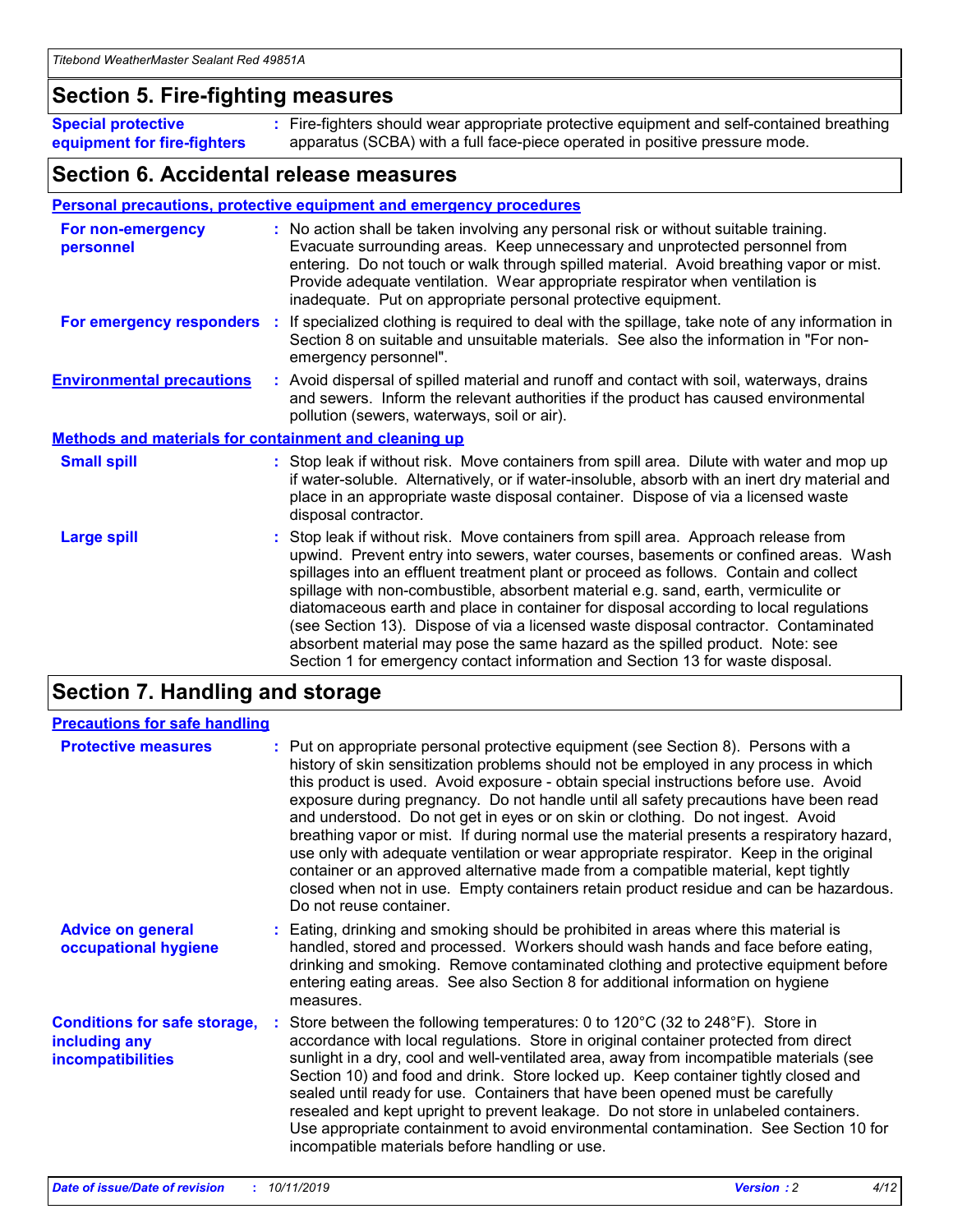### **Section 5. Fire-fighting measures**

**Special protective equipment for fire-fighters** Fire-fighters should wear appropriate protective equipment and self-contained breathing **:** apparatus (SCBA) with a full face-piece operated in positive pressure mode.

### **Section 6. Accidental release measures**

#### **Personal precautions, protective equipment and emergency procedures**

| For non-emergency<br>personnel                               | : No action shall be taken involving any personal risk or without suitable training.<br>Evacuate surrounding areas. Keep unnecessary and unprotected personnel from<br>entering. Do not touch or walk through spilled material. Avoid breathing vapor or mist.<br>Provide adequate ventilation. Wear appropriate respirator when ventilation is<br>inadequate. Put on appropriate personal protective equipment.                                                                                                                                                                                                                                                                                             |
|--------------------------------------------------------------|--------------------------------------------------------------------------------------------------------------------------------------------------------------------------------------------------------------------------------------------------------------------------------------------------------------------------------------------------------------------------------------------------------------------------------------------------------------------------------------------------------------------------------------------------------------------------------------------------------------------------------------------------------------------------------------------------------------|
| For emergency responders                                     | : If specialized clothing is required to deal with the spillage, take note of any information in<br>Section 8 on suitable and unsuitable materials. See also the information in "For non-<br>emergency personnel".                                                                                                                                                                                                                                                                                                                                                                                                                                                                                           |
| <b>Environmental precautions</b>                             | : Avoid dispersal of spilled material and runoff and contact with soil, waterways, drains<br>and sewers. Inform the relevant authorities if the product has caused environmental<br>pollution (sewers, waterways, soil or air).                                                                                                                                                                                                                                                                                                                                                                                                                                                                              |
| <b>Methods and materials for containment and cleaning up</b> |                                                                                                                                                                                                                                                                                                                                                                                                                                                                                                                                                                                                                                                                                                              |
| <b>Small spill</b>                                           | : Stop leak if without risk. Move containers from spill area. Dilute with water and mop up<br>if water-soluble. Alternatively, or if water-insoluble, absorb with an inert dry material and<br>place in an appropriate waste disposal container. Dispose of via a licensed waste<br>disposal contractor.                                                                                                                                                                                                                                                                                                                                                                                                     |
| <b>Large spill</b>                                           | : Stop leak if without risk. Move containers from spill area. Approach release from<br>upwind. Prevent entry into sewers, water courses, basements or confined areas. Wash<br>spillages into an effluent treatment plant or proceed as follows. Contain and collect<br>spillage with non-combustible, absorbent material e.g. sand, earth, vermiculite or<br>diatomaceous earth and place in container for disposal according to local regulations<br>(see Section 13). Dispose of via a licensed waste disposal contractor. Contaminated<br>absorbent material may pose the same hazard as the spilled product. Note: see<br>Section 1 for emergency contact information and Section 13 for waste disposal. |

### **Section 7. Handling and storage**

| <b>Precautions for safe handling</b>                                             |                                                                                                                                                                                                                                                                                                                                                                                                                                                                                                                                                                                                                                                                                                                                                                                                                                                  |
|----------------------------------------------------------------------------------|--------------------------------------------------------------------------------------------------------------------------------------------------------------------------------------------------------------------------------------------------------------------------------------------------------------------------------------------------------------------------------------------------------------------------------------------------------------------------------------------------------------------------------------------------------------------------------------------------------------------------------------------------------------------------------------------------------------------------------------------------------------------------------------------------------------------------------------------------|
| <b>Protective measures</b>                                                       | : Put on appropriate personal protective equipment (see Section 8). Persons with a<br>history of skin sensitization problems should not be employed in any process in which<br>this product is used. Avoid exposure - obtain special instructions before use. Avoid<br>exposure during pregnancy. Do not handle until all safety precautions have been read<br>and understood. Do not get in eyes or on skin or clothing. Do not ingest. Avoid<br>breathing vapor or mist. If during normal use the material presents a respiratory hazard,<br>use only with adequate ventilation or wear appropriate respirator. Keep in the original<br>container or an approved alternative made from a compatible material, kept tightly<br>closed when not in use. Empty containers retain product residue and can be hazardous.<br>Do not reuse container. |
| <b>Advice on general</b><br>occupational hygiene                                 | : Eating, drinking and smoking should be prohibited in areas where this material is<br>handled, stored and processed. Workers should wash hands and face before eating,<br>drinking and smoking. Remove contaminated clothing and protective equipment before<br>entering eating areas. See also Section 8 for additional information on hygiene<br>measures.                                                                                                                                                                                                                                                                                                                                                                                                                                                                                    |
| <b>Conditions for safe storage,</b><br>including any<br><b>incompatibilities</b> | Store between the following temperatures: 0 to 120 $\degree$ C (32 to 248 $\degree$ F). Store in<br>accordance with local regulations. Store in original container protected from direct<br>sunlight in a dry, cool and well-ventilated area, away from incompatible materials (see<br>Section 10) and food and drink. Store locked up. Keep container tightly closed and<br>sealed until ready for use. Containers that have been opened must be carefully<br>resealed and kept upright to prevent leakage. Do not store in unlabeled containers.<br>Use appropriate containment to avoid environmental contamination. See Section 10 for<br>incompatible materials before handling or use.                                                                                                                                                     |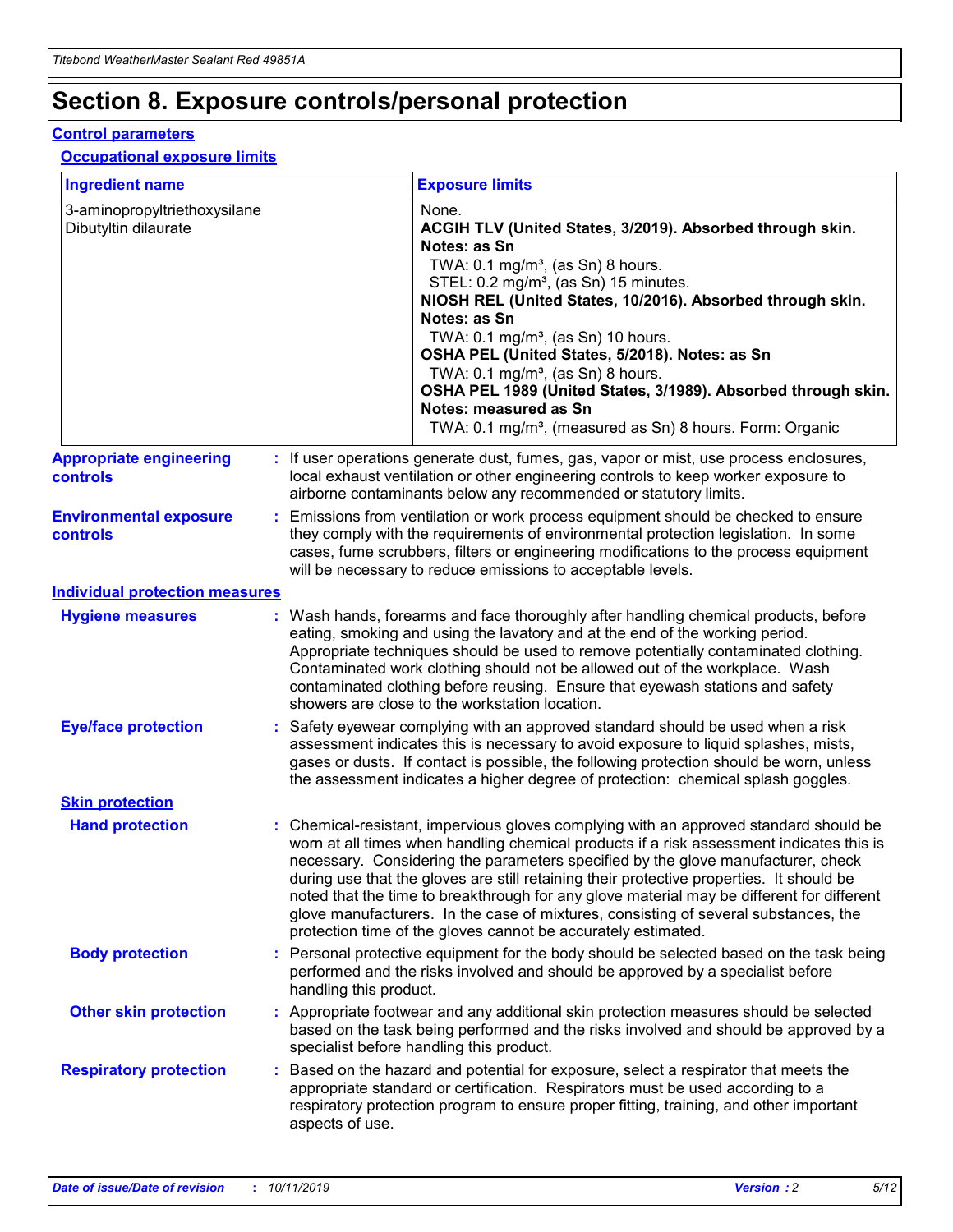## **Section 8. Exposure controls/personal protection**

#### **Control parameters**

#### **Occupational exposure limits**

| <b>Ingredient name</b>                               |    |                        | <b>Exposure limits</b>                                                                                                                                                                                                                                                                                                                                                                                                                                                                                                                                                                                                 |
|------------------------------------------------------|----|------------------------|------------------------------------------------------------------------------------------------------------------------------------------------------------------------------------------------------------------------------------------------------------------------------------------------------------------------------------------------------------------------------------------------------------------------------------------------------------------------------------------------------------------------------------------------------------------------------------------------------------------------|
| 3-aminopropyltriethoxysilane<br>Dibutyltin dilaurate |    |                        | None.<br>ACGIH TLV (United States, 3/2019). Absorbed through skin.<br>Notes: as Sn<br>TWA: $0.1 \text{ mg/m}^3$ , (as Sn) 8 hours.<br>STEL: 0.2 mg/m <sup>3</sup> , (as Sn) 15 minutes.<br>NIOSH REL (United States, 10/2016). Absorbed through skin.<br>Notes: as Sn<br>TWA: 0.1 mg/m <sup>3</sup> , (as Sn) 10 hours.<br>OSHA PEL (United States, 5/2018). Notes: as Sn<br>TWA: $0.1 \text{ mg/m}^3$ , (as Sn) 8 hours.<br>OSHA PEL 1989 (United States, 3/1989). Absorbed through skin.<br>Notes: measured as Sn<br>TWA: 0.1 mg/m <sup>3</sup> , (measured as Sn) 8 hours. Form: Organic                            |
| <b>Appropriate engineering</b><br>controls           |    |                        | : If user operations generate dust, fumes, gas, vapor or mist, use process enclosures,<br>local exhaust ventilation or other engineering controls to keep worker exposure to<br>airborne contaminants below any recommended or statutory limits.                                                                                                                                                                                                                                                                                                                                                                       |
| <b>Environmental exposure</b><br>controls            |    |                        | Emissions from ventilation or work process equipment should be checked to ensure<br>they comply with the requirements of environmental protection legislation. In some<br>cases, fume scrubbers, filters or engineering modifications to the process equipment<br>will be necessary to reduce emissions to acceptable levels.                                                                                                                                                                                                                                                                                          |
| <b>Individual protection measures</b>                |    |                        |                                                                                                                                                                                                                                                                                                                                                                                                                                                                                                                                                                                                                        |
| <b>Hygiene measures</b>                              |    |                        | : Wash hands, forearms and face thoroughly after handling chemical products, before<br>eating, smoking and using the lavatory and at the end of the working period.<br>Appropriate techniques should be used to remove potentially contaminated clothing.<br>Contaminated work clothing should not be allowed out of the workplace. Wash<br>contaminated clothing before reusing. Ensure that eyewash stations and safety<br>showers are close to the workstation location.                                                                                                                                            |
| <b>Eye/face protection</b>                           |    |                        | : Safety eyewear complying with an approved standard should be used when a risk<br>assessment indicates this is necessary to avoid exposure to liquid splashes, mists,<br>gases or dusts. If contact is possible, the following protection should be worn, unless<br>the assessment indicates a higher degree of protection: chemical splash goggles.                                                                                                                                                                                                                                                                  |
| <b>Skin protection</b>                               |    |                        |                                                                                                                                                                                                                                                                                                                                                                                                                                                                                                                                                                                                                        |
| <b>Hand protection</b>                               |    |                        | : Chemical-resistant, impervious gloves complying with an approved standard should be<br>worn at all times when handling chemical products if a risk assessment indicates this is<br>necessary. Considering the parameters specified by the glove manufacturer, check<br>during use that the gloves are still retaining their protective properties. It should be<br>noted that the time to breakthrough for any glove material may be different for different<br>glove manufacturers. In the case of mixtures, consisting of several substances, the<br>protection time of the gloves cannot be accurately estimated. |
| <b>Body protection</b>                               |    | handling this product. | Personal protective equipment for the body should be selected based on the task being<br>performed and the risks involved and should be approved by a specialist before                                                                                                                                                                                                                                                                                                                                                                                                                                                |
| <b>Other skin protection</b>                         |    |                        | : Appropriate footwear and any additional skin protection measures should be selected<br>based on the task being performed and the risks involved and should be approved by a<br>specialist before handling this product.                                                                                                                                                                                                                                                                                                                                                                                              |
| <b>Respiratory protection</b>                        | ÷. | aspects of use.        | Based on the hazard and potential for exposure, select a respirator that meets the<br>appropriate standard or certification. Respirators must be used according to a<br>respiratory protection program to ensure proper fitting, training, and other important                                                                                                                                                                                                                                                                                                                                                         |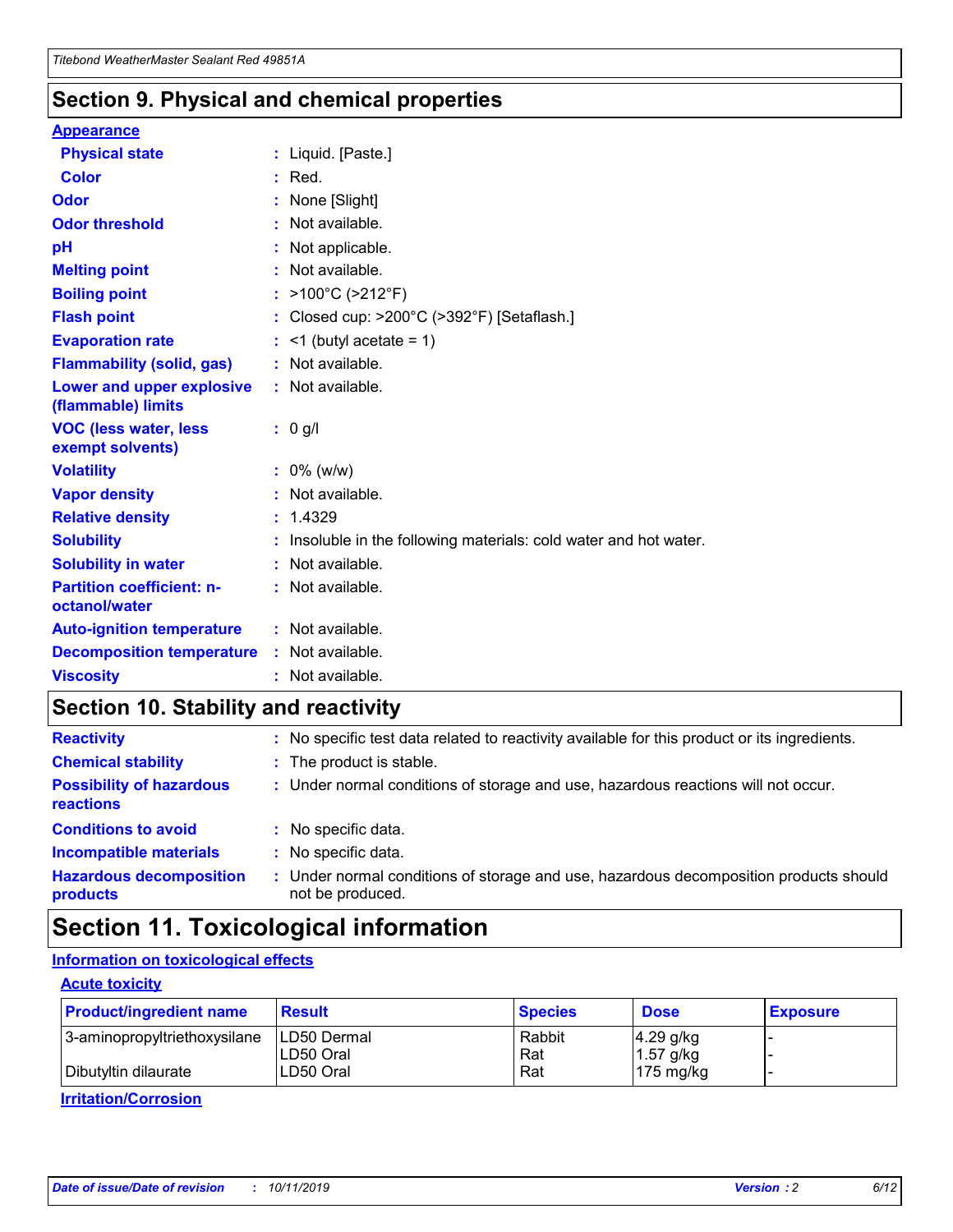### **Section 9. Physical and chemical properties**

#### **Appearance**

| <b>Physical state</b>                             | : Liquid. [Paste.]                                              |
|---------------------------------------------------|-----------------------------------------------------------------|
| <b>Color</b>                                      | $:$ Red.                                                        |
| Odor                                              | None [Slight]                                                   |
| <b>Odor threshold</b>                             | $:$ Not available.                                              |
| рH                                                | : Not applicable.                                               |
| <b>Melting point</b>                              | : Not available.                                                |
| <b>Boiling point</b>                              | : >100°C (>212°F)                                               |
| <b>Flash point</b>                                | Closed cup: >200°C (>392°F) [Setaflash.]                        |
| <b>Evaporation rate</b>                           | $:$ <1 (butyl acetate = 1)                                      |
| <b>Flammability (solid, gas)</b>                  | : Not available.                                                |
| Lower and upper explosive<br>(flammable) limits   | : Not available.                                                |
| <b>VOC (less water, less)</b><br>exempt solvents) | $: 0$ g/l                                                       |
| <b>Volatility</b>                                 | $: 0\%$ (w/w)                                                   |
| <b>Vapor density</b>                              | : Not available.                                                |
| <b>Relative density</b>                           | : 1.4329                                                        |
| <b>Solubility</b>                                 | Insoluble in the following materials: cold water and hot water. |
| <b>Solubility in water</b>                        | : Not available.                                                |
| <b>Partition coefficient: n-</b><br>octanol/water | $:$ Not available.                                              |
|                                                   |                                                                 |
| <b>Auto-ignition temperature</b>                  | : Not available.                                                |
| <b>Decomposition temperature</b>                  | : Not available.                                                |

### **Section 10. Stability and reactivity**

| <b>Reactivity</b>                            | : No specific test data related to reactivity available for this product or its ingredients.            |
|----------------------------------------------|---------------------------------------------------------------------------------------------------------|
| <b>Chemical stability</b>                    | : The product is stable.                                                                                |
| <b>Possibility of hazardous</b><br>reactions | : Under normal conditions of storage and use, hazardous reactions will not occur.                       |
| <b>Conditions to avoid</b>                   | : No specific data.                                                                                     |
| <b>Incompatible materials</b>                | : No specific data.                                                                                     |
| <b>Hazardous decomposition</b><br>products   | Under normal conditions of storage and use, hazardous decomposition products should<br>not be produced. |

### **Section 11. Toxicological information**

### **Information on toxicological effects**

#### **Acute toxicity**

| <b>Product/ingredient name</b> | <b>Result</b>           | <b>Species</b> | <b>Dose</b>                | <b>Exposure</b> |
|--------------------------------|-------------------------|----------------|----------------------------|-----------------|
| 3-aminopropyltriethoxysilane   | <b>ILD50 Dermal</b>     | Rabbit         | 4.29 g/kg                  |                 |
| Dibutyltin dilaurate           | ILD50 Oral<br>LD50 Oral | Rat<br>Rat     | $1.57$ g/kg<br>175 $mg/kg$ |                 |
|                                |                         |                |                            |                 |

**Irritation/Corrosion**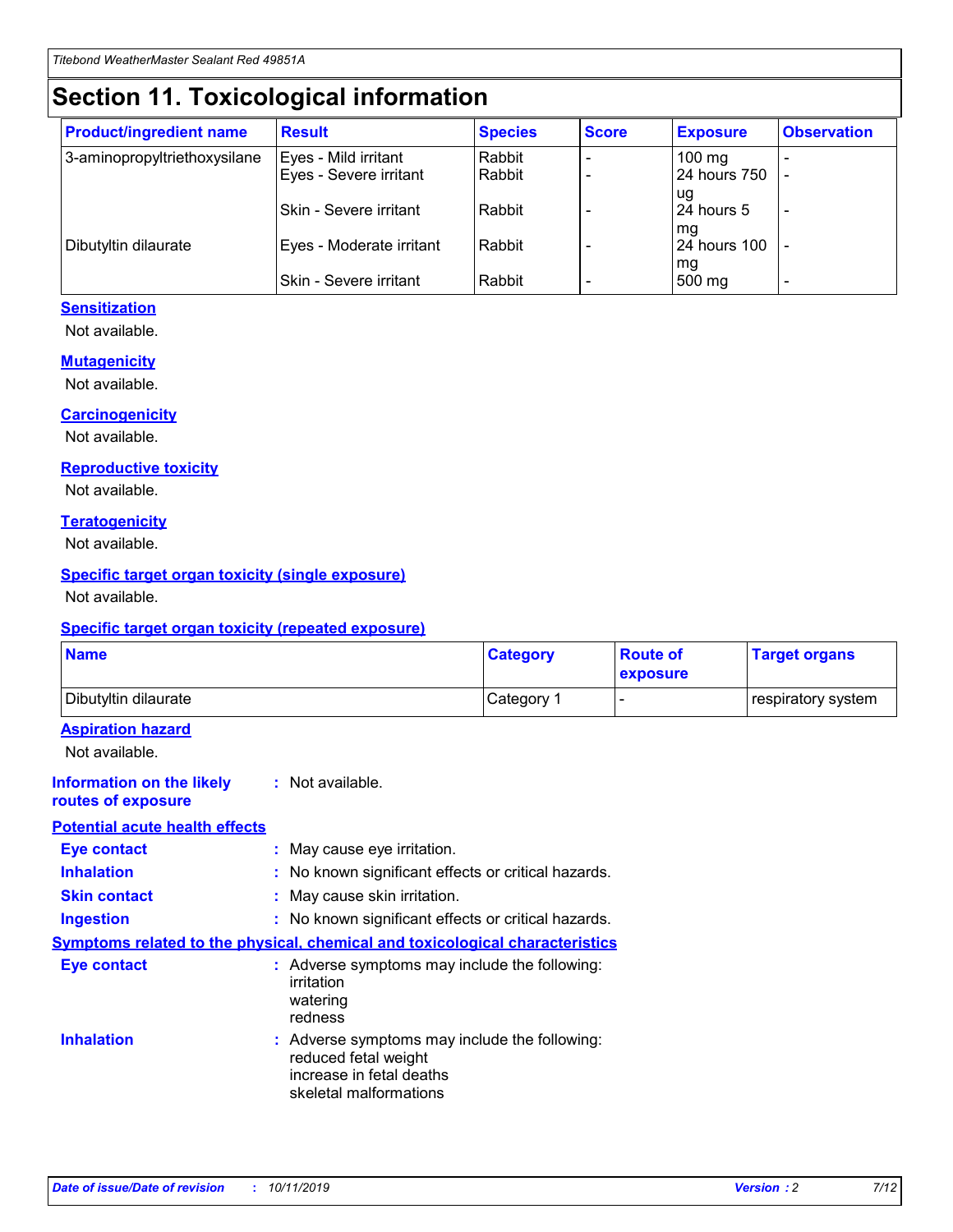## **Section 11. Toxicological information**

| <b>Product/ingredient name</b> | <b>Result</b>                 | <b>Species</b> | <b>Score</b> | <b>Exposure</b>           | <b>Observation</b> |
|--------------------------------|-------------------------------|----------------|--------------|---------------------------|--------------------|
| 3-aminopropyltriethoxysilane   | Eyes - Mild irritant          | Rabbit         |              | $100$ mg                  |                    |
|                                | Eyes - Severe irritant        | Rabbit         |              | 24 hours 750              |                    |
|                                |                               |                |              | ug                        |                    |
|                                | <b>Skin - Severe irritant</b> | Rabbit         |              | 24 hours 5                | ۰                  |
| Dibutyltin dilaurate           | Eyes - Moderate irritant      | Rabbit         |              | mq<br><b>24 hours 100</b> |                    |
|                                |                               |                |              | mg                        |                    |
|                                | Skin - Severe irritant        | Rabbit         |              | 500 mg                    |                    |

#### **Sensitization**

Not available.

#### **Mutagenicity**

Not available.

#### **Carcinogenicity**

Not available.

#### **Reproductive toxicity**

Not available.

#### **Teratogenicity**

Not available.

#### **Specific target organ toxicity (single exposure)**

Not available.

#### **Specific target organ toxicity (repeated exposure)**

| <b>Name</b>                                                                         |                                                                            | <b>Category</b>                                     | <b>Route of</b><br>exposure | <b>Target organs</b> |
|-------------------------------------------------------------------------------------|----------------------------------------------------------------------------|-----------------------------------------------------|-----------------------------|----------------------|
| Dibutyltin dilaurate                                                                |                                                                            | Category 1                                          |                             | respiratory system   |
| <b>Aspiration hazard</b><br>Not available.                                          |                                                                            |                                                     |                             |                      |
| <b>Information on the likely</b><br>routes of exposure                              | : Not available.                                                           |                                                     |                             |                      |
| <b>Potential acute health effects</b>                                               |                                                                            |                                                     |                             |                      |
| <b>Eye contact</b>                                                                  | : May cause eye irritation.                                                |                                                     |                             |                      |
| <b>Inhalation</b>                                                                   |                                                                            | : No known significant effects or critical hazards. |                             |                      |
| <b>Skin contact</b>                                                                 | : May cause skin irritation.                                               |                                                     |                             |                      |
| <b>Ingestion</b>                                                                    |                                                                            | : No known significant effects or critical hazards. |                             |                      |
| <b>Symptoms related to the physical, chemical and toxicological characteristics</b> |                                                                            |                                                     |                             |                      |
| <b>Eye contact</b>                                                                  | irritation<br>watering<br>redness                                          | : Adverse symptoms may include the following:       |                             |                      |
| <b>Inhalation</b>                                                                   | reduced fetal weight<br>increase in fetal deaths<br>skeletal malformations | : Adverse symptoms may include the following:       |                             |                      |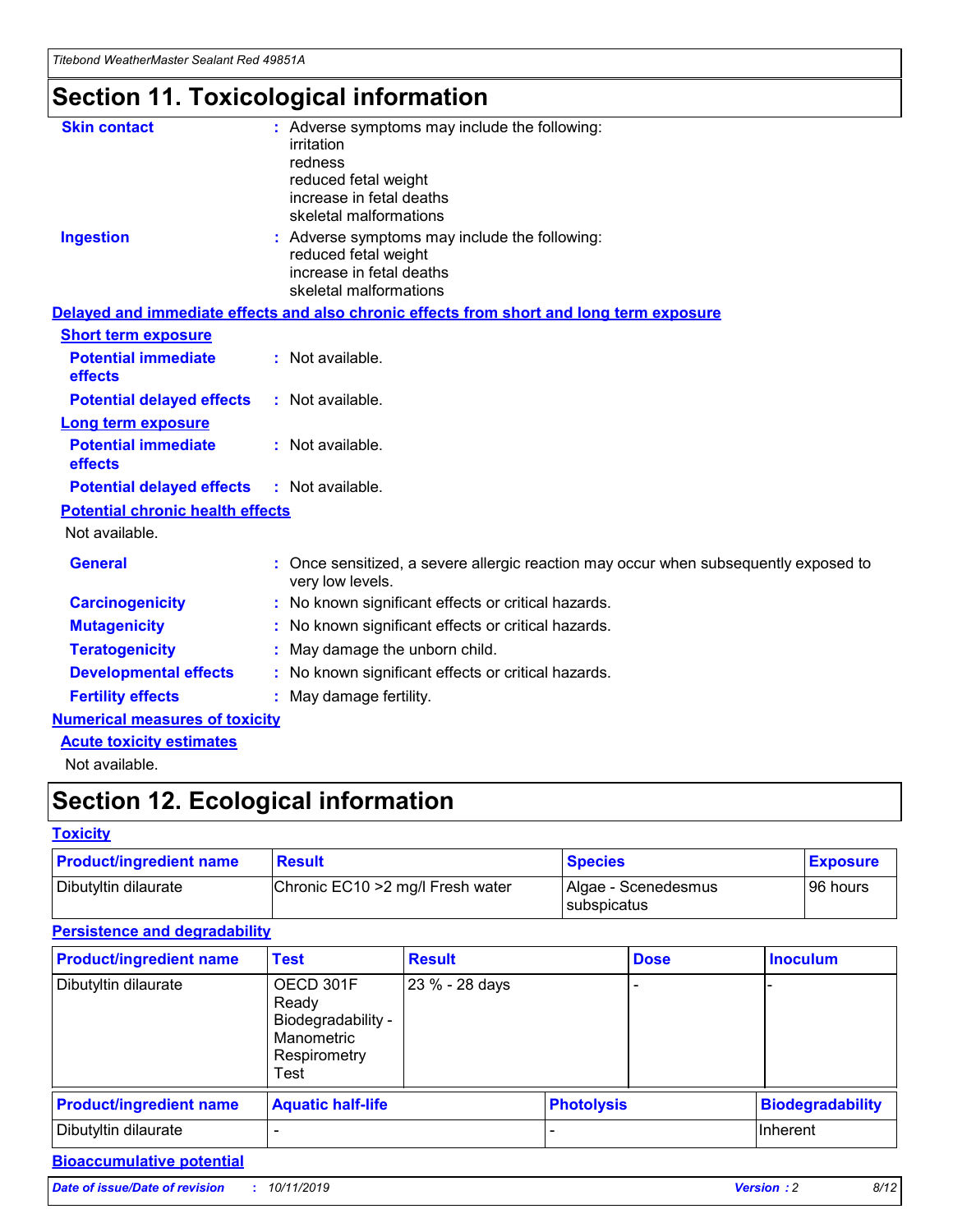## **Section 11. Toxicological information**

| <b>Skin contact</b>                     | : Adverse symptoms may include the following:<br>irritation<br>redness<br>reduced fetal weight<br>increase in fetal deaths<br>skeletal malformations |
|-----------------------------------------|------------------------------------------------------------------------------------------------------------------------------------------------------|
| <b>Ingestion</b>                        | : Adverse symptoms may include the following:<br>reduced fetal weight<br>increase in fetal deaths<br>skeletal malformations                          |
|                                         | Delayed and immediate effects and also chronic effects from short and long term exposure                                                             |
| <b>Short term exposure</b>              |                                                                                                                                                      |
| <b>Potential immediate</b><br>effects   | : Not available.                                                                                                                                     |
| <b>Potential delayed effects</b>        | : Not available.                                                                                                                                     |
| <b>Long term exposure</b>               |                                                                                                                                                      |
| <b>Potential immediate</b><br>effects   | : Not available.                                                                                                                                     |
| <b>Potential delayed effects</b>        | : Not available.                                                                                                                                     |
| <b>Potential chronic health effects</b> |                                                                                                                                                      |
| Not available.                          |                                                                                                                                                      |
| <b>General</b>                          | : Once sensitized, a severe allergic reaction may occur when subsequently exposed to<br>very low levels.                                             |
| <b>Carcinogenicity</b>                  | : No known significant effects or critical hazards.                                                                                                  |
| <b>Mutagenicity</b>                     | No known significant effects or critical hazards.                                                                                                    |
| <b>Teratogenicity</b>                   | May damage the unborn child.                                                                                                                         |
| <b>Developmental effects</b>            | No known significant effects or critical hazards.                                                                                                    |
| <b>Fertility effects</b>                | : May damage fertility.                                                                                                                              |
| <b>Numerical measures of toxicity</b>   |                                                                                                                                                      |
| <b>Acute toxicity estimates</b>         |                                                                                                                                                      |
|                                         |                                                                                                                                                      |

Not available.

## **Section 12. Ecological information**

#### **Toxicity**

| <b>Product/ingredient name</b> | <b>Result</b>                     | <b>Species</b>                       | <b>Exposure</b> |
|--------------------------------|-----------------------------------|--------------------------------------|-----------------|
| Dibutyltin dilaurate           | Chronic EC10 > 2 mg/l Fresh water | Algae - Scenedesmus<br>I subspicatus | l 96 hours i    |

### **Persistence and degradability**

| <b>Product/ingredient name</b> | <b>Test</b>                                                                    | <b>Result</b>  |  | <b>Dose</b>       | <b>Inoculum</b>         |
|--------------------------------|--------------------------------------------------------------------------------|----------------|--|-------------------|-------------------------|
| Dibutyltin dilaurate           | OECD 301F<br>Ready<br>Biodegradability -<br>Manometric<br>Respirometry<br>Test | 23 % - 28 days |  |                   |                         |
| <b>Product/ingredient name</b> | <b>Aquatic half-life</b>                                                       |                |  | <b>Photolysis</b> | <b>Biodegradability</b> |
| Dibutyltin dilaurate           |                                                                                |                |  |                   | Inherent                |

### **Bioaccumulative potential**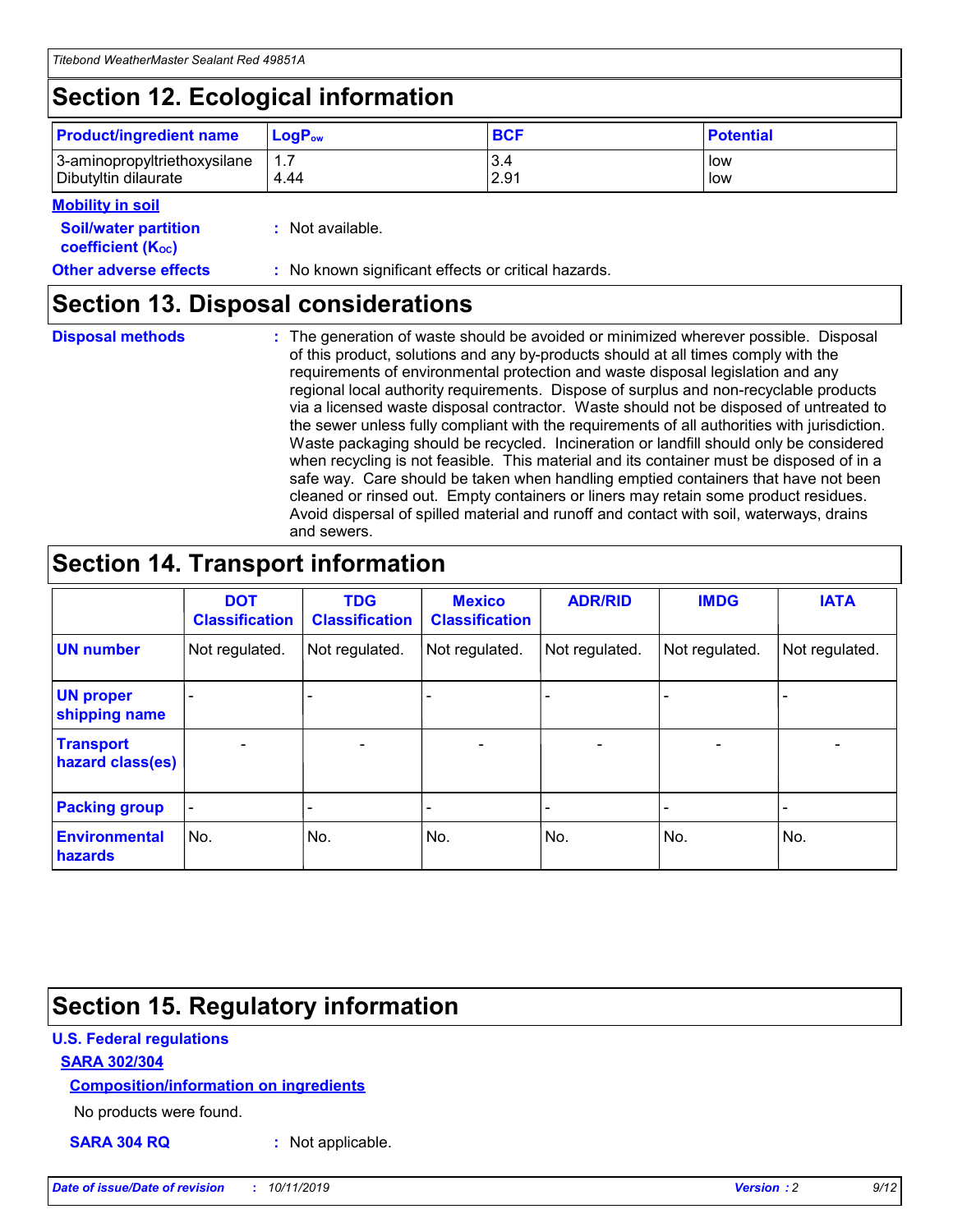## **Section 12. Ecological information**

| <b>Product/ingredient name</b> | $LoaPow$ | <b>BCF</b> | <b>Potential</b> |
|--------------------------------|----------|------------|------------------|
| 3-aminopropyltriethoxysilane   | 1.7      | 3.4        | low              |
| Dibutyltin dilaurate           | 4.44     | 2.91       | low              |

#### **Mobility in soil**

| <b>Soil/water partition</b><br>coefficient (K <sub>oc</sub> ) | : Not available.                                    |
|---------------------------------------------------------------|-----------------------------------------------------|
| <b>Other adverse effects</b>                                  | : No known significant effects or critical hazards. |

### **Section 13. Disposal considerations**

**Disposal methods :**

The generation of waste should be avoided or minimized wherever possible. Disposal of this product, solutions and any by-products should at all times comply with the requirements of environmental protection and waste disposal legislation and any regional local authority requirements. Dispose of surplus and non-recyclable products via a licensed waste disposal contractor. Waste should not be disposed of untreated to the sewer unless fully compliant with the requirements of all authorities with jurisdiction. Waste packaging should be recycled. Incineration or landfill should only be considered when recycling is not feasible. This material and its container must be disposed of in a safe way. Care should be taken when handling emptied containers that have not been cleaned or rinsed out. Empty containers or liners may retain some product residues. Avoid dispersal of spilled material and runoff and contact with soil, waterways, drains and sewers.

## **Section 14. Transport information**

|                                      | <b>DOT</b><br><b>Classification</b> | <b>TDG</b><br><b>Classification</b> | <b>Mexico</b><br><b>Classification</b> | <b>ADR/RID</b>               | <b>IMDG</b>    | <b>IATA</b>              |
|--------------------------------------|-------------------------------------|-------------------------------------|----------------------------------------|------------------------------|----------------|--------------------------|
| <b>UN number</b>                     | Not regulated.                      | Not regulated.                      | Not regulated.                         | Not regulated.               | Not regulated. | Not regulated.           |
| <b>UN proper</b><br>shipping name    |                                     |                                     |                                        |                              |                |                          |
| <b>Transport</b><br>hazard class(es) | $\blacksquare$                      | $\overline{\phantom{0}}$            | $\overline{\phantom{a}}$               | $\qquad \qquad \blacksquare$ | $\blacksquare$ | $\overline{\phantom{0}}$ |
| <b>Packing group</b>                 | $\overline{\phantom{a}}$            | -                                   |                                        | -                            |                | -                        |
| <b>Environmental</b><br>hazards      | No.                                 | No.                                 | No.                                    | No.                          | No.            | No.                      |

## **Section 15. Regulatory information**

#### **U.S. Federal regulations**

#### **SARA 302/304**

#### **Composition/information on ingredients**

No products were found.

**SARA 304 RQ :** Not applicable.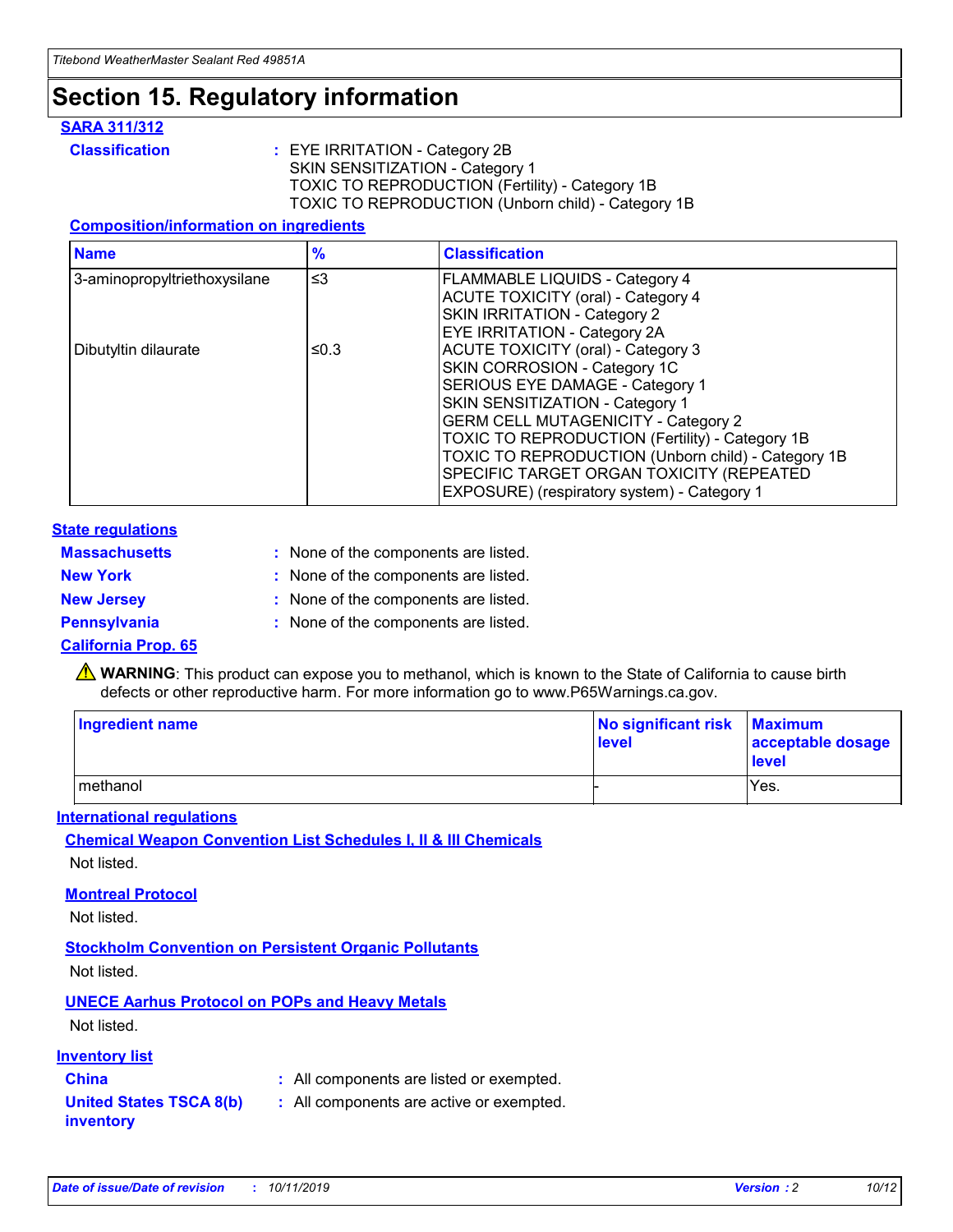## **Section 15. Regulatory information**

#### **SARA 311/312**

**Classification :** EYE IRRITATION - Category 2B SKIN SENSITIZATION - Category 1 TOXIC TO REPRODUCTION (Fertility) - Category 1B TOXIC TO REPRODUCTION (Unborn child) - Category 1B

#### **Composition/information on ingredients**

| <b>Name</b>                  | $\frac{9}{6}$ | <b>Classification</b>                                                                                            |
|------------------------------|---------------|------------------------------------------------------------------------------------------------------------------|
| 3-aminopropyltriethoxysilane | $\leq$ 3      | <b>FLAMMABLE LIQUIDS - Category 4</b><br><b>ACUTE TOXICITY (oral) - Category 4</b>                               |
|                              |               | SKIN IRRITATION - Category 2<br>EYE IRRITATION - Category 2A                                                     |
| Dibutyltin dilaurate         | ≤0.3          | ACUTE TOXICITY (oral) - Category 3<br>SKIN CORROSION - Category 1C                                               |
|                              |               | SERIOUS EYE DAMAGE - Category 1<br>SKIN SENSITIZATION - Category 1<br><b>GERM CELL MUTAGENICITY - Category 2</b> |
|                              |               | TOXIC TO REPRODUCTION (Fertility) - Category 1B<br>TOXIC TO REPRODUCTION (Unborn child) - Category 1B            |
|                              |               | SPECIFIC TARGET ORGAN TOXICITY (REPEATED<br>EXPOSURE) (respiratory system) - Category 1                          |

#### **State regulations**

| <b>Massachusetts</b> | : None of the components are listed. |
|----------------------|--------------------------------------|
| <b>New York</b>      | : None of the components are listed. |
| <b>New Jersey</b>    | : None of the components are listed. |
| Pennsylvania         | : None of the components are listed. |

#### **California Prop. 65**

**A** WARNING: This product can expose you to methanol, which is known to the State of California to cause birth defects or other reproductive harm. For more information go to www.P65Warnings.ca.gov.

| <b>Ingredient name</b> | No significant risk Maximum<br>level | acceptable dosage<br>level |
|------------------------|--------------------------------------|----------------------------|
| methanol               |                                      | Yes.                       |

#### **International regulations**

**Chemical Weapon Convention List Schedules I, II & III Chemicals** Not listed.

#### **Montreal Protocol**

Not listed.

**Stockholm Convention on Persistent Organic Pollutants**

Not listed.

### **UNECE Aarhus Protocol on POPs and Heavy Metals**

Not listed.

#### **Inventory list**

### **China :** All components are listed or exempted.

**United States TSCA 8(b) inventory :** All components are active or exempted.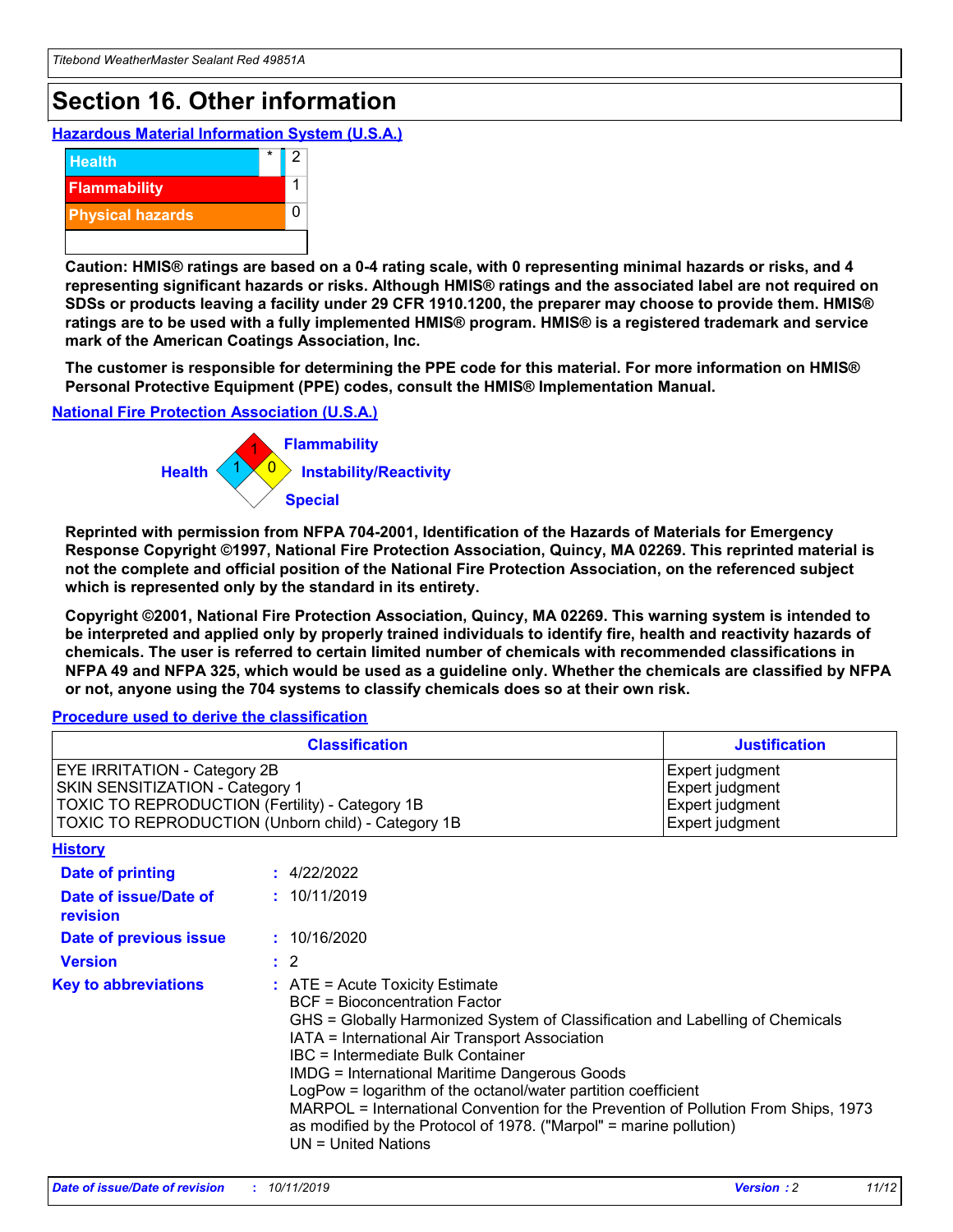## **Section 16. Other information**

**Hazardous Material Information System (U.S.A.)**



**Caution: HMIS® ratings are based on a 0-4 rating scale, with 0 representing minimal hazards or risks, and 4 representing significant hazards or risks. Although HMIS® ratings and the associated label are not required on SDSs or products leaving a facility under 29 CFR 1910.1200, the preparer may choose to provide them. HMIS® ratings are to be used with a fully implemented HMIS® program. HMIS® is a registered trademark and service mark of the American Coatings Association, Inc.**

**The customer is responsible for determining the PPE code for this material. For more information on HMIS® Personal Protective Equipment (PPE) codes, consult the HMIS® Implementation Manual.**

#### **National Fire Protection Association (U.S.A.)**



**Reprinted with permission from NFPA 704-2001, Identification of the Hazards of Materials for Emergency Response Copyright ©1997, National Fire Protection Association, Quincy, MA 02269. This reprinted material is not the complete and official position of the National Fire Protection Association, on the referenced subject which is represented only by the standard in its entirety.**

**Copyright ©2001, National Fire Protection Association, Quincy, MA 02269. This warning system is intended to be interpreted and applied only by properly trained individuals to identify fire, health and reactivity hazards of chemicals. The user is referred to certain limited number of chemicals with recommended classifications in NFPA 49 and NFPA 325, which would be used as a guideline only. Whether the chemicals are classified by NFPA or not, anyone using the 704 systems to classify chemicals does so at their own risk.**

#### **Procedure used to derive the classification**

| <b>Classification</b>                                                                                                                                                                  |                                                                                                                                                                                                                                                                   | <b>Justification</b>                                                                                                                                                                                                                                                                                       |  |
|----------------------------------------------------------------------------------------------------------------------------------------------------------------------------------------|-------------------------------------------------------------------------------------------------------------------------------------------------------------------------------------------------------------------------------------------------------------------|------------------------------------------------------------------------------------------------------------------------------------------------------------------------------------------------------------------------------------------------------------------------------------------------------------|--|
| <b>EYE IRRITATION - Category 2B</b><br>SKIN SENSITIZATION - Category 1<br><b>TOXIC TO REPRODUCTION (Fertility) - Category 1B</b><br>TOXIC TO REPRODUCTION (Unborn child) - Category 1B |                                                                                                                                                                                                                                                                   | Expert judgment<br>Expert judgment<br>Expert judgment<br>Expert judgment                                                                                                                                                                                                                                   |  |
| <b>History</b>                                                                                                                                                                         |                                                                                                                                                                                                                                                                   |                                                                                                                                                                                                                                                                                                            |  |
| Date of printing                                                                                                                                                                       | : 4/22/2022                                                                                                                                                                                                                                                       |                                                                                                                                                                                                                                                                                                            |  |
| Date of issue/Date of<br>revision                                                                                                                                                      | : 10/11/2019                                                                                                                                                                                                                                                      |                                                                                                                                                                                                                                                                                                            |  |
| Date of previous issue                                                                                                                                                                 | : 10/16/2020                                                                                                                                                                                                                                                      |                                                                                                                                                                                                                                                                                                            |  |
| <b>Version</b>                                                                                                                                                                         | $\therefore$ 2                                                                                                                                                                                                                                                    |                                                                                                                                                                                                                                                                                                            |  |
| <b>Key to abbreviations</b>                                                                                                                                                            | $\therefore$ ATE = Acute Toxicity Estimate<br><b>BCF</b> = Bioconcentration Factor<br>IATA = International Air Transport Association<br><b>IBC</b> = Intermediate Bulk Container<br><b>IMDG = International Maritime Dangerous Goods</b><br>$UN = United Nations$ | GHS = Globally Harmonized System of Classification and Labelling of Chemicals<br>LogPow = logarithm of the octanol/water partition coefficient<br>MARPOL = International Convention for the Prevention of Pollution From Ships, 1973<br>as modified by the Protocol of 1978. ("Marpol" = marine pollution) |  |